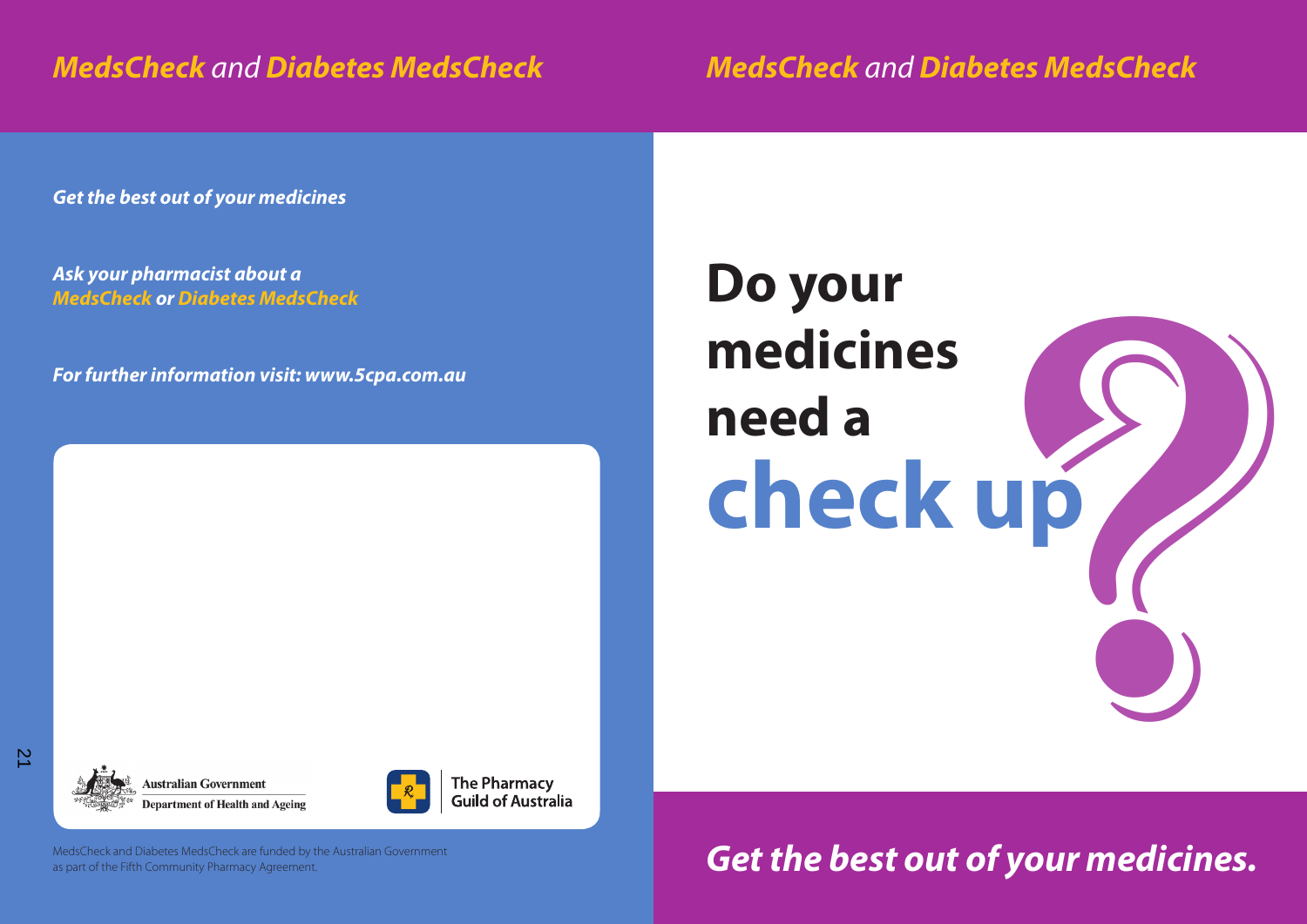## *MedsCheck and Diabetes MedsCheck*

*MedsCheck and Diabetes MedsCheck*

*Get the best out of your medicines*

*Ask your pharmacist about a MedsCheck or Diabetes MedsCheck*

*For further information visit: www.5cpa.com.au*

# **Do your medicines need a**  Do your<br>medicines<br>need a<br>**check up**



**Australian Government Department of Health and Ageing** 



**The Pharmacy Guild of Australia** 

MedsCheck and Diabetes MedsCheck are funded by the Australian Government as part of the Fifth Community Pharmacy Agreement.

*Get the best out of your medicines.*